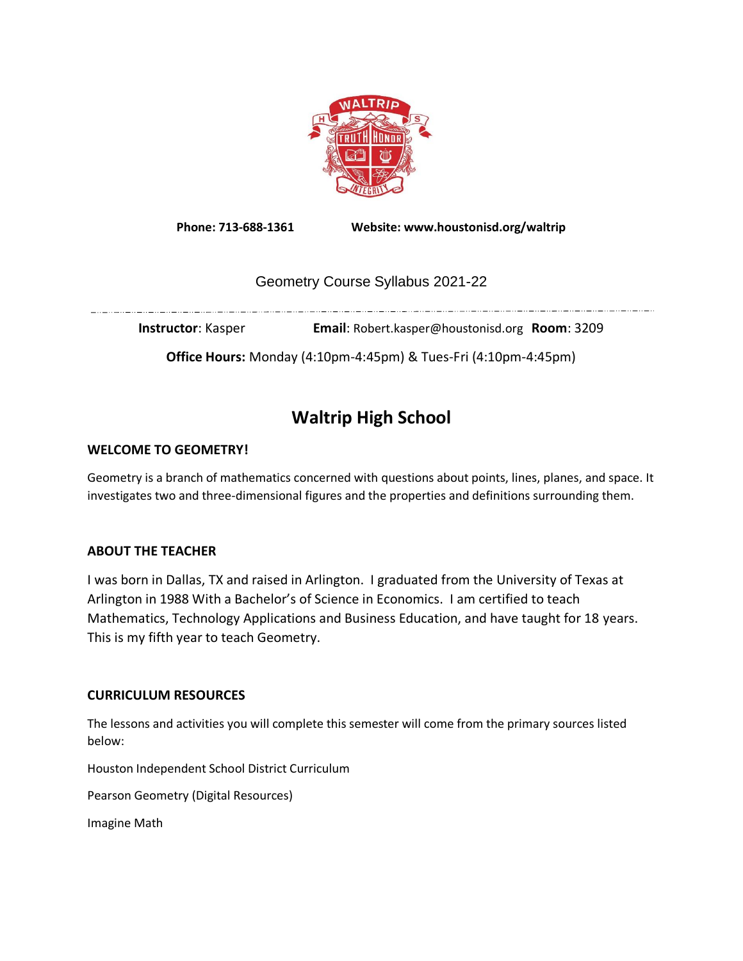

**Phone: 713-688-1361 Website: www.houstonisd.org/waltrip**

## Geometry Course Syllabus 2021-22

**Instructor**: Kasper **Email**: Robert.kasper@houstonisd.org **Room**: 3209

**Office Hours:** Monday (4:10pm-4:45pm) & Tues-Fri (4:10pm-4:45pm)

# **Waltrip High School**

### **WELCOME TO GEOMETRY!**

Geometry is a branch of mathematics concerned with questions about points, lines, planes, and space. It investigates two and three-dimensional figures and the properties and definitions surrounding them.

#### **ABOUT THE TEACHER**

I was born in Dallas, TX and raised in Arlington. I graduated from the University of Texas at Arlington in 1988 With a Bachelor's of Science in Economics. I am certified to teach Mathematics, Technology Applications and Business Education, and have taught for 18 years. This is my fifth year to teach Geometry.

#### **CURRICULUM RESOURCES**

The lessons and activities you will complete this semester will come from the primary sources listed below:

Houston Independent School District Curriculum

Pearson Geometry (Digital Resources)

Imagine Math